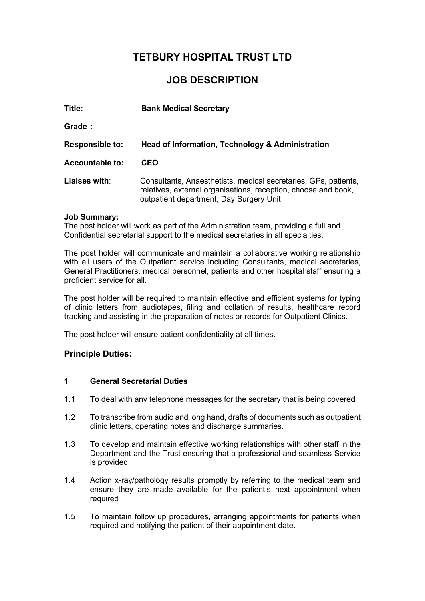# **TETBURY HOSPITAL TRUST LTD**

# **JOB DESCRIPTION**

| Title:                 | <b>Bank Medical Secretary</b>                                                                                                                                                |
|------------------------|------------------------------------------------------------------------------------------------------------------------------------------------------------------------------|
| Grade:                 |                                                                                                                                                                              |
| <b>Responsible to:</b> | Head of Information, Technology & Administration                                                                                                                             |
| <b>Accountable to:</b> | <b>CEO</b>                                                                                                                                                                   |
| Liaises with:          | Consultants, Anaesthetists, medical secretaries, GPs, patients,<br>relatives, external organisations, reception, choose and book,<br>outpatient department, Day Surgery Unit |

## **Job Summary:**

The post holder will work as part of the Administration team, providing a full and Confidential secretarial support to the medical secretaries in all specialties.

The post holder will communicate and maintain a collaborative working relationship with all users of the Outpatient service including Consultants, medical secretaries, General Practitioners, medical personnel, patients and other hospital staff ensuring a proficient service for all.

The post holder will be required to maintain effective and efficient systems for typing of clinic letters from audiotapes, filing and collation of results, healthcare record tracking and assisting in the preparation of notes or records for Outpatient Clinics.

The post holder will ensure patient confidentiality at all times.

## **Principle Duties:**

## **1 General Secretarial Duties**

- 1.1 To deal with any telephone messages for the secretary that is being covered
- 1.2 To transcribe from audio and long hand, drafts of documents such as outpatient clinic letters, operating notes and discharge summaries.
- 1.3 To develop and maintain effective working relationships with other staff in the Department and the Trust ensuring that a professional and seamless Service is provided.
- 1.4 Action x-ray/pathology results promptly by referring to the medical team and ensure they are made available for the patient's next appointment when required
- 1.5 To maintain follow up procedures, arranging appointments for patients when required and notifying the patient of their appointment date.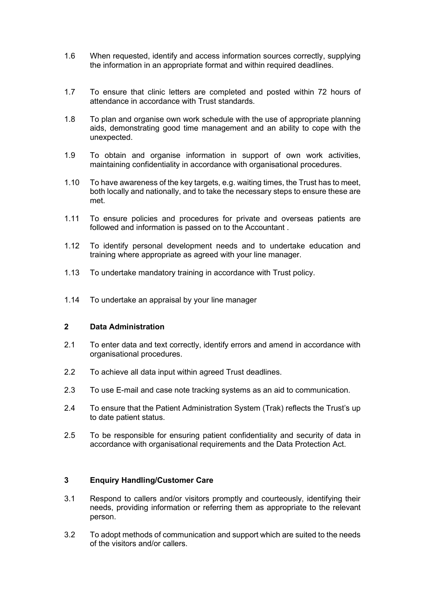- 1.6 When requested, identify and access information sources correctly, supplying the information in an appropriate format and within required deadlines.
- 1.7 To ensure that clinic letters are completed and posted within 72 hours of attendance in accordance with Trust standards.
- 1.8 To plan and organise own work schedule with the use of appropriate planning aids, demonstrating good time management and an ability to cope with the unexpected.
- 1.9 To obtain and organise information in support of own work activities, maintaining confidentiality in accordance with organisational procedures.
- 1.10 To have awareness of the key targets, e.g. waiting times, the Trust has to meet, both locally and nationally, and to take the necessary steps to ensure these are met.
- 1.11 To ensure policies and procedures for private and overseas patients are followed and information is passed on to the Accountant .
- 1.12 To identify personal development needs and to undertake education and training where appropriate as agreed with your line manager.
- 1.13 To undertake mandatory training in accordance with Trust policy.
- 1.14 To undertake an appraisal by your line manager

## **2 Data Administration**

- 2.1 To enter data and text correctly, identify errors and amend in accordance with organisational procedures.
- 2.2 To achieve all data input within agreed Trust deadlines.
- 2.3 To use E-mail and case note tracking systems as an aid to communication.
- 2.4 To ensure that the Patient Administration System (Trak) reflects the Trust's up to date patient status.
- 2.5 To be responsible for ensuring patient confidentiality and security of data in accordance with organisational requirements and the Data Protection Act.

## **3 Enquiry Handling/Customer Care**

- 3.1 Respond to callers and/or visitors promptly and courteously, identifying their needs, providing information or referring them as appropriate to the relevant person.
- 3.2 To adopt methods of communication and support which are suited to the needs of the visitors and/or callers.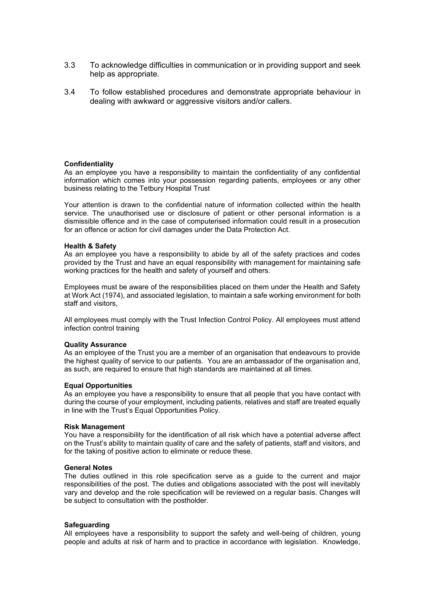- 3.3 To acknowledge difficulties in communication or in providing support and seek help as appropriate.
- 3.4 To follow established procedures and demonstrate appropriate behaviour in dealing with awkward or aggressive visitors and/or callers.

#### **Confidentiality**

As an employee you have a responsibility to maintain the confidentiality of any confidential information which comes into your possession regarding patients, employees or any other business relating to the Tetbury Hospital Trust

Your attention is drawn to the confidential nature of information collected within the health service. The unauthorised use or disclosure of patient or other personal information is a dismissible offence and in the case of computerised information could result in a prosecution for an offence or action for civil damages under the Data Protection Act.

#### **Health & Safety**

As an employee you have a responsibility to abide by all of the safety practices and codes provided by the Trust and have an equal responsibility with management for maintaining safe working practices for the health and safety of yourself and others.

Employees must be aware of the responsibilities placed on them under the Health and Safety at Work Act (1974), and associated legislation, to maintain a safe working environment for both staff and visitors,

All employees must comply with the Trust Infection Control Policy. All employees must attend infection control training

#### **Quality Assurance**

As an employee of the Trust you are a member of an organisation that endeavours to provide the highest quality of service to our patients. You are an ambassador of the organisation and, as such, are required to ensure that high standards are maintained at all times.

#### **Equal Opportunities**

As an employee you have a responsibility to ensure that all people that you have contact with during the course of your employment, including patients, relatives and staff are treated equally in line with the Trust's Equal Opportunities Policy.

#### **Risk Management**

You have a responsibility for the identification of all risk which have a potential adverse affect on the Trust's ability to maintain quality of care and the safety of patients, staff and visitors, and for the taking of positive action to eliminate or reduce these.

#### **General Notes**

The duties outlined in this role specification serve as a guide to the current and major responsibilities of the post. The duties and obligations associated with the post will inevitably vary and develop and the role specification will be reviewed on a regular basis. Changes will be subject to consultation with the postholder.

#### **Safeguarding**

All employees have a responsibility to support the safety and well-being of children, young people and adults at risk of harm and to practice in accordance with legislation. Knowledge,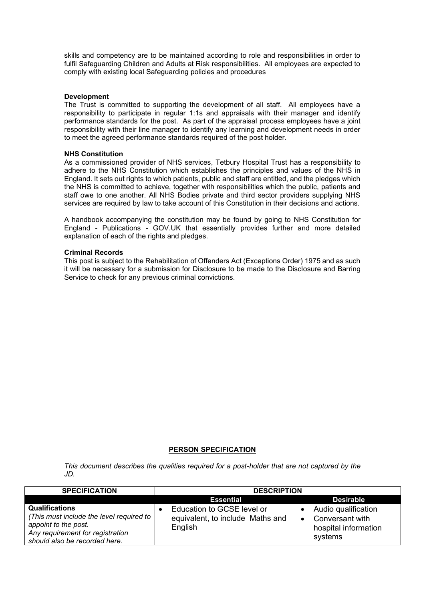skills and competency are to be maintained according to role and responsibilities in order to fulfil Safeguarding Children and Adults at Risk responsibilities. All employees are expected to comply with existing local Safeguarding policies and procedures

### **Development**

The Trust is committed to supporting the development of all staff. All employees have a responsibility to participate in regular 1:1s and appraisals with their manager and identify performance standards for the post. As part of the appraisal process employees have a joint responsibility with their line manager to identify any learning and development needs in order to meet the agreed performance standards required of the post holder.

#### **NHS Constitution**

As a commissioned provider of NHS services, Tetbury Hospital Trust has a responsibility to adhere to the NHS Constitution which establishes the principles and values of the NHS in England. It sets out rights to which patients, public and staff are entitled, and the pledges which the NHS is committed to achieve, together with responsibilities which the public, patients and staff owe to one another. All NHS Bodies private and third sector providers supplying NHS services are required by law to take account of this Constitution in their decisions and actions.

A handbook accompanying the constitution may be found by going to [NHS Constitution for](https://www.gov.uk/government/publications/the-nhs-constitution-for-england)  England - [Publications -](https://www.gov.uk/government/publications/the-nhs-constitution-for-england) GOV.UK that essentially provides further and more detailed explanation of each of the rights and pledges.

#### **Criminal Records**

This post is subject to the Rehabilitation of Offenders Act (Exceptions Order) 1975 and as such it will be necessary for a submission for Disclosure to be made to the Disclosure and Barring Service to check for any previous criminal convictions.

### **PERSON SPECIFICATION**

*This document describes the qualities required for a post-holder that are not captured by the JD.* 

| <b>SPECIFICATION</b>                                                                                                                                           | <b>DESCRIPTION</b>                                                        |                                                                           |  |
|----------------------------------------------------------------------------------------------------------------------------------------------------------------|---------------------------------------------------------------------------|---------------------------------------------------------------------------|--|
|                                                                                                                                                                | <b>Essential</b>                                                          | <b>Desirable</b>                                                          |  |
| <b>Qualifications</b><br>(This must include the level required to<br>appoint to the post.<br>Any requirement for registration<br>should also be recorded here. | Education to GCSE level or<br>equivalent, to include Maths and<br>English | Audio qualification<br>Conversant with<br>hospital information<br>systems |  |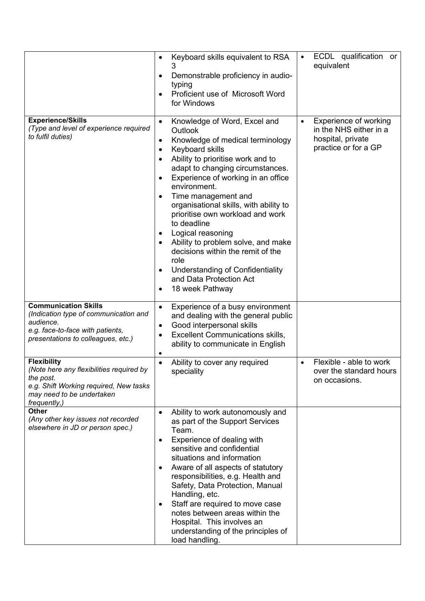|                                                                                                                                                                    | Keyboard skills equivalent to RSA<br>$\bullet$<br>Demonstrable proficiency in audio-<br>typing<br>Proficient use of Microsoft Word<br>for Windows                                                                                                                                                                                                                                                                                                                                                                                                                          | ECDL qualification or<br>equivalent                                                          |
|--------------------------------------------------------------------------------------------------------------------------------------------------------------------|----------------------------------------------------------------------------------------------------------------------------------------------------------------------------------------------------------------------------------------------------------------------------------------------------------------------------------------------------------------------------------------------------------------------------------------------------------------------------------------------------------------------------------------------------------------------------|----------------------------------------------------------------------------------------------|
| <b>Experience/Skills</b><br>(Type and level of experience required<br>to fulfil duties)                                                                            | Knowledge of Word, Excel and<br>$\bullet$<br>Outlook<br>Knowledge of medical terminology<br>Keyboard skills<br>Ability to prioritise work and to<br>adapt to changing circumstances.<br>Experience of working in an office<br>environment.<br>Time management and<br>organisational skills, with ability to<br>prioritise own workload and work<br>to deadline<br>Logical reasoning<br>$\bullet$<br>Ability to problem solve, and make<br>decisions within the remit of the<br>role<br>Understanding of Confidentiality<br>٠<br>and Data Protection Act<br>18 week Pathway | Experience of working<br>in the NHS either in a<br>hospital, private<br>practice or for a GP |
| <b>Communication Skills</b><br>(Indication type of communication and<br>audience.<br>e.g. face-to-face with patients,<br>presentations to colleagues, etc.)        | Experience of a busy environment<br>$\bullet$<br>and dealing with the general public<br>Good interpersonal skills<br>٠<br><b>Excellent Communications skills,</b><br>ability to communicate in English                                                                                                                                                                                                                                                                                                                                                                     |                                                                                              |
| <b>Flexibility</b><br>(Note here any flexibilities required by<br>the post.<br>e.g. Shift Working required, New tasks<br>may need to be undertaken<br>frequently,) | Ability to cover any required<br>speciality                                                                                                                                                                                                                                                                                                                                                                                                                                                                                                                                | Flexible - able to work<br>over the standard hours<br>on occasions.                          |
| <b>Other</b><br>(Any other key issues not recorded<br>elsewhere in JD or person spec.)                                                                             | Ability to work autonomously and<br>$\bullet$<br>as part of the Support Services<br>Team.<br>Experience of dealing with<br>sensitive and confidential<br>situations and information<br>Aware of all aspects of statutory<br>$\bullet$<br>responsibilities, e.g. Health and<br>Safety, Data Protection, Manual<br>Handling, etc.<br>Staff are required to move case<br>notes between areas within the<br>Hospital. This involves an<br>understanding of the principles of<br>load handling.                                                                                 |                                                                                              |